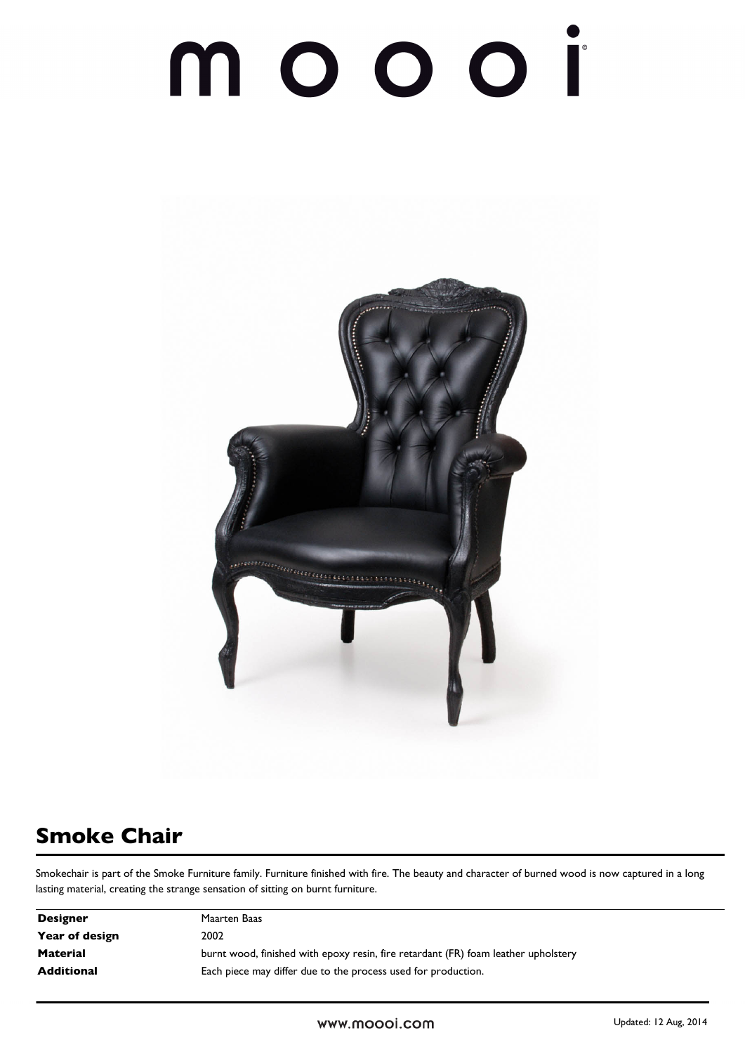# 



### **Smoke Chair**

Smokechair is part of the Smoke Furniture family. Furniture finished with fire. The beauty and character of burned wood is now captured in a long lasting material, creating the strange sensation of sitting on burnt furniture.

| <b>Designer</b> | Maarten Baas                                                                       |
|-----------------|------------------------------------------------------------------------------------|
| Year of design  | 2002                                                                               |
| <b>Material</b> | burnt wood, finished with epoxy resin, fire retardant (FR) foam leather upholstery |
| Additional      | Each piece may differ due to the process used for production.                      |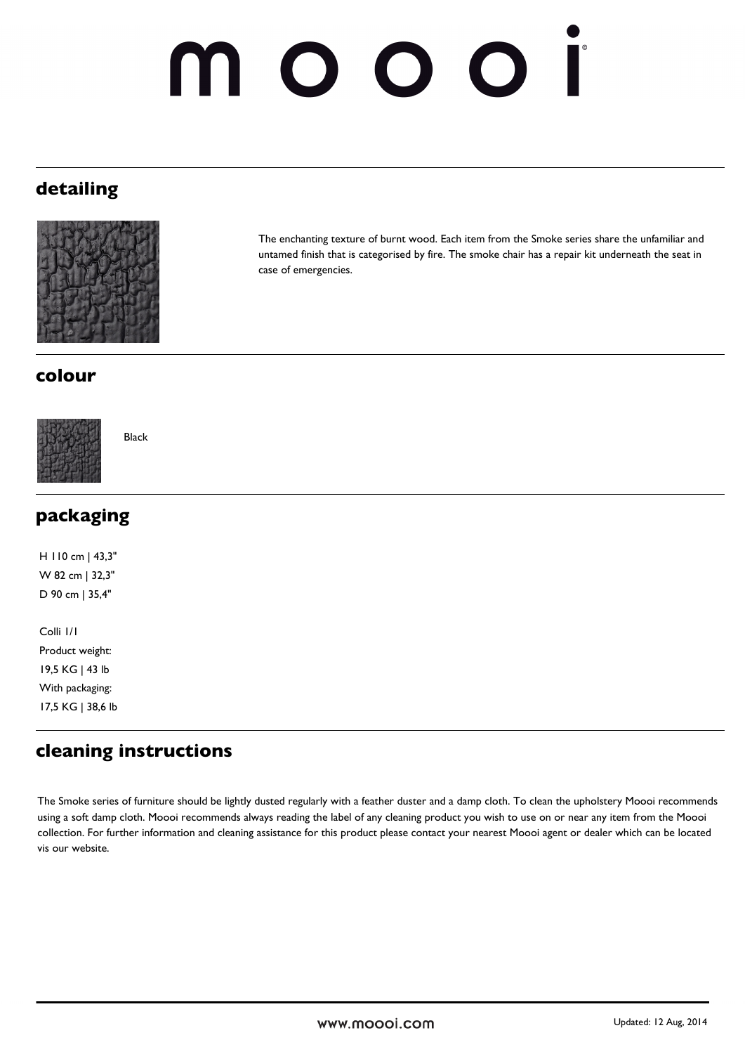## 10001

#### **detailing**



The enchanting texture of burnt wood. Each item from the Smoke series share the unfamiliar and untamed finish that is categorised by fire. The smoke chair has a repair kit underneath the seat in case of emergencies.

#### **colour**



Black

| packaging         |  |
|-------------------|--|
| H 110 cm   43,3"  |  |
| W 82 cm   32,3"   |  |
| D 90 cm   35,4"   |  |
|                   |  |
| Colli I/I         |  |
| Product weight:   |  |
| 19,5 KG   43 lb   |  |
| With packaging:   |  |
| 17,5 KG   38,6 lb |  |

#### **cleaning instructions**

The Smoke series of furniture should be lightly dusted regularly with a feather duster and a damp cloth. To clean the upholstery Moooi recommends using a soft damp cloth. Moooi recommends always reading the label of any cleaning product you wish to use on or near any item from the Moooi collection. For further information and cleaning assistance for this product please contact your nearest Moooi agent or dealer which can be located vis our website.